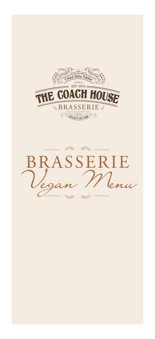

 $\begin{picture}(20,10) \put(0,0){\vector(1,0){30}} \put(15,0){\vector(1,0){30}} \put(15,0){\vector(1,0){30}} \put(15,0){\vector(1,0){30}} \put(15,0){\vector(1,0){30}} \put(15,0){\vector(1,0){30}} \put(15,0){\vector(1,0){30}} \put(15,0){\vector(1,0){30}} \put(15,0){\vector(1,0){30}} \put(15,0){\vector(1,0){30}} \put(15,0){\vector(1,0){30}} \put(15,0){\vector(1$ BRASSERIE *Vegan Menu*